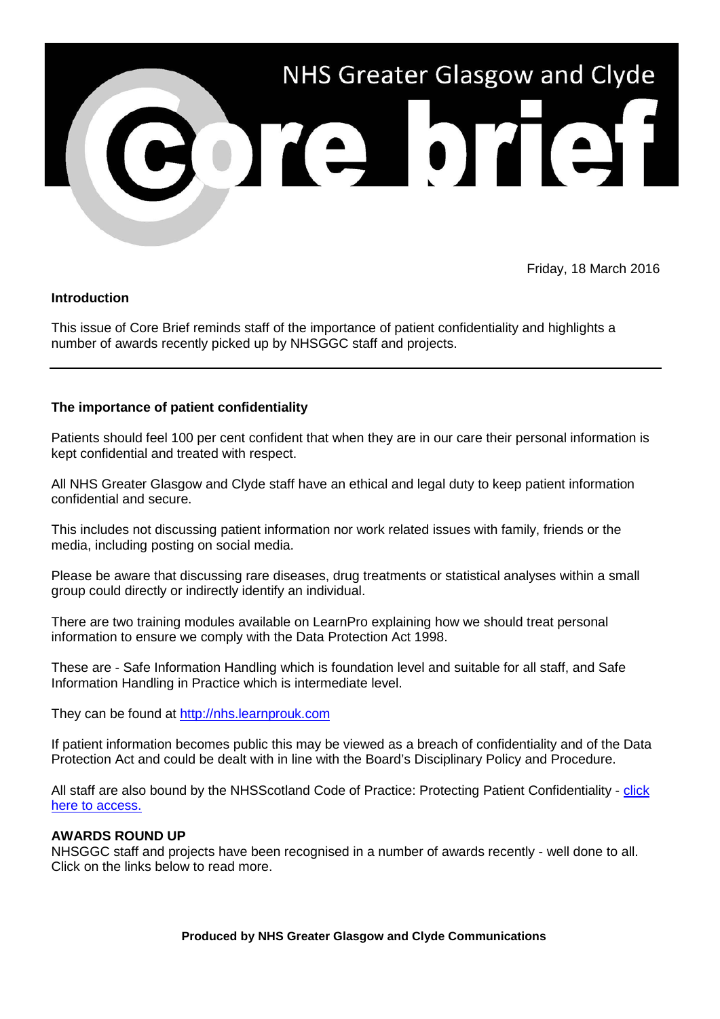

Friday, 18 March 2016

## **Introduction**

This issue of Core Brief reminds staff of the importance of patient confidentiality and highlights a number of awards recently picked up by NHSGGC staff and projects.

## **The importance of patient confidentiality**

Patients should feel 100 per cent confident that when they are in our care their personal information is kept confidential and treated with respect.

All NHS Greater Glasgow and Clyde staff have an ethical and legal duty to keep patient information confidential and secure.

This includes not discussing patient information nor work related issues with family, friends or the media, including posting on social media.

Please be aware that discussing rare diseases, drug treatments or statistical analyses within a small group could directly or indirectly identify an individual.

There are two training modules available on LearnPro explaining how we should treat personal information to ensure we comply with the Data Protection Act 1998.

These are - Safe Information Handling which is foundation level and suitable for all staff, and Safe Information Handling in Practice which is intermediate level.

They can be found at [http://nhs.learnprouk.com](http://nhs.learnprouk.com/)

If patient information becomes public this may be viewed as a breach of confidentiality and of the Data Protection Act and could be dealt with in line with the Board's Disciplinary Policy and Procedure.

All staff are also bound by the NHSScotland Code of Practice: Protecting Patient Confidentiality - [click](http://elearning.scot.nhs.uk:8080/intralibrary/open_virtual_file_path/i123n1168626t/6074NHSCode.pdf)  [here to access.](http://elearning.scot.nhs.uk:8080/intralibrary/open_virtual_file_path/i123n1168626t/6074NHSCode.pdf)

## **AWARDS ROUND UP**

NHSGGC staff and projects have been recognised in a number of awards recently - well done to all. Click on the links below to read more.